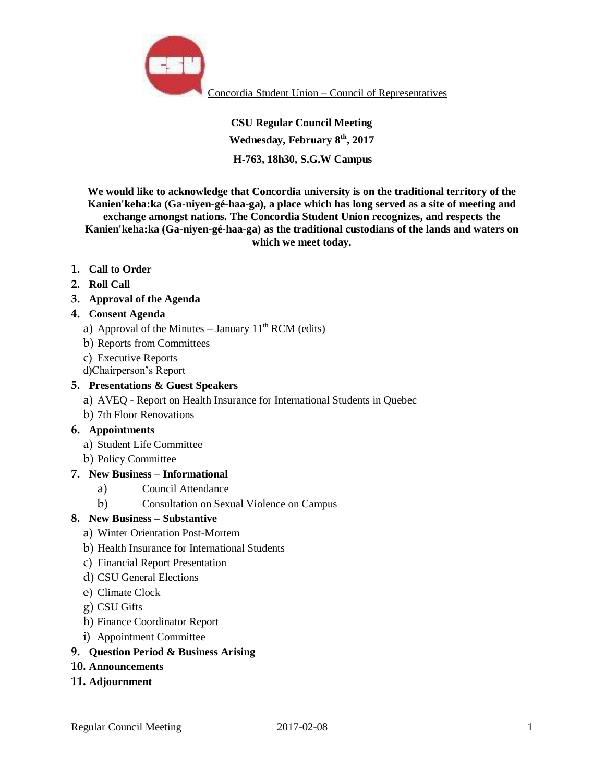

Concordia Student Union – Council of Representatives

**CSU Regular Council Meeting Wednesday, February 8th, 2017 H-763, 18h30, S.G.W Campus** 

**We would like to acknowledge that Concordia university is on the traditional territory of the Kanien'keha:ka (Ga-niyen-gé-haa-ga), a place which has long served as a site of meeting and exchange amongst nations. The Concordia Student Union recognizes, and respects the Kanien'keha:ka (Ga-niyen-gé-haa-ga) as the traditional custodians of the lands and waters on which we meet today.**

- **1. Call to Order**
- **2. Roll Call**

## **3. Approval of the Agenda**

### **4. Consent Agenda**

- a) Approval of the Minutes January  $11<sup>th</sup> RCM$  (edits)
- b) Reports from Committees
- c) Executive Reports
- d)Chairperson's Report

### **5. Presentations & Guest Speakers**

- a) AVEQ Report on Health Insurance for International Students in Quebec
- b) 7th Floor Renovations

#### **6. Appointments**

- a) Student Life Committee
- b) Policy Committee

### **7. New Business – Informational**

- a) Council Attendance
- b) Consultation on Sexual Violence on Campus

### **8. New Business – Substantive**

- a) Winter Orientation Post-Mortem
- b) Health Insurance for International Students
- c) Financial Report Presentation
- d) CSU General Elections
- e) Climate Clock
- g) CSU Gifts
- h) Finance Coordinator Report
- i) Appointment Committee

#### **9. Question Period & Business Arising**

**10. Announcements** 

### **11. Adjournment**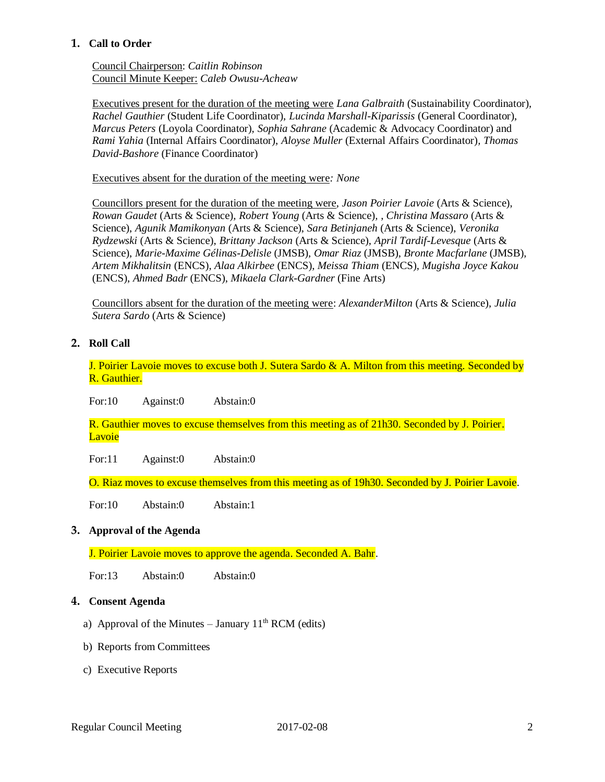## **1. Call to Order**

Council Chairperson: *Caitlin Robinson* Council Minute Keeper: *Caleb Owusu-Acheaw*

Executives present for the duration of the meeting were *Lana Galbraith* (Sustainability Coordinator), *Rachel Gauthier* (Student Life Coordinator), *Lucinda Marshall-Kiparissis* (General Coordinator), *Marcus Peters* (Loyola Coordinator), *Sophia Sahrane* (Academic & Advocacy Coordinator) and *Rami Yahia* (Internal Affairs Coordinator), *Aloyse Muller* (External Affairs Coordinator)*, Thomas David-Bashore* (Finance Coordinator)

Executives absent for the duration of the meeting were*: None*

Councillors present for the duration of the meeting were, *Jason Poirier Lavoie* (Arts & Science), *Rowan Gaudet* (Arts & Science)*, Robert Young* (Arts & Science)*,* , *Christina Massaro* (Arts & Science), *Agunik Mamikonyan* (Arts & Science), *Sara Betinjaneh* (Arts & Science), *Veronika Rydzewski* (Arts & Science), *Brittany Jackson* (Arts & Science), *April Tardif-Levesque* (Arts & Science), *Marie-Maxime Gélinas-Delisle* (JMSB)*, Omar Riaz* (JMSB), *Bronte Macfarlane* (JMSB), *Artem Mikhalitsin* (ENCS), *Alaa Alkirbee* (ENCS), *Meissa Thiam* (ENCS), *Mugisha Joyce Kakou*  (ENCS), *Ahmed Badr* (ENCS), *Mikaela Clark-Gardner* (Fine Arts)

Councillors absent for the duration of the meeting were: *AlexanderMilton* (Arts & Science), *Julia Sutera Sardo* (Arts & Science)

# **2. Roll Call**

J. Poirier Lavoie moves to excuse both J. Sutera Sardo & A. Milton from this meeting. Seconded by R. Gauthier.

For:10 Against:0 Abstain:0

R. Gauthier moves to excuse themselves from this meeting as of 21h30. Seconded by J. Poirier. **Lavoie** 

For:11 Against:0 Abstain:0

O. Riaz moves to excuse themselves from this meeting as of 19h30. Seconded by J. Poirier Lavoie.

For:10 Abstain:0 Abstain:1

### **3. Approval of the Agenda**

J. Poirier Lavoie moves to approve the agenda. Seconded A. Bahr.

For:13 Abstain:0 Abstain:0

### **4. Consent Agenda**

- a) Approval of the Minutes January  $11<sup>th</sup> RCM$  (edits)
- b) Reports from Committees
- c) Executive Reports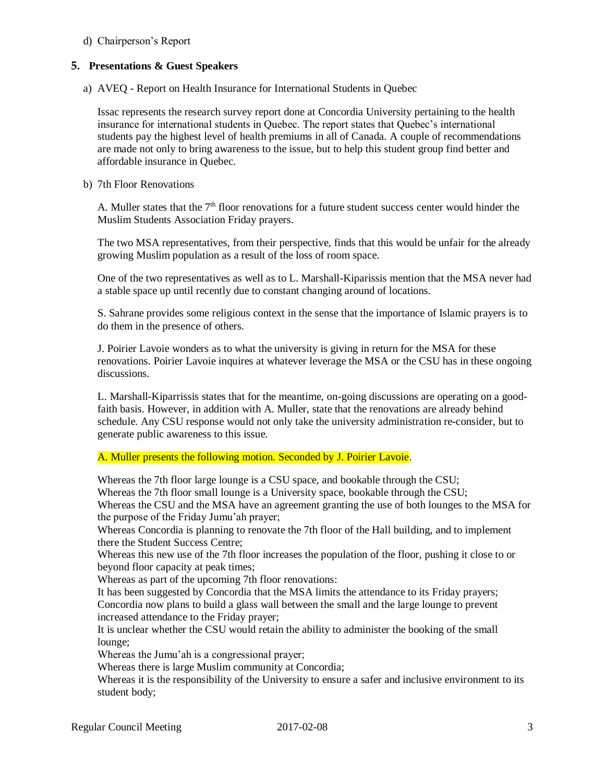## d) Chairperson's Report

## **5. Presentations & Guest Speakers**

a) AVEQ - Report on Health Insurance for International Students in Quebec

Issac represents the research survey report done at Concordia University pertaining to the health insurance for international students in Quebec. The report states that Quebec's international students pay the highest level of health premiums in all of Canada. A couple of recommendations are made not only to bring awareness to the issue, but to help this student group find better and affordable insurance in Quebec.

## b) 7th Floor Renovations

A. Muller states that the  $7<sup>th</sup>$  floor renovations for a future student success center would hinder the Muslim Students Association Friday prayers.

The two MSA representatives, from their perspective, finds that this would be unfair for the already growing Muslim population as a result of the loss of room space.

One of the two representatives as well as to L. Marshall-Kiparissis mention that the MSA never had a stable space up until recently due to constant changing around of locations.

S. Sahrane provides some religious context in the sense that the importance of Islamic prayers is to do them in the presence of others.

J. Poirier Lavoie wonders as to what the university is giving in return for the MSA for these renovations. Poirier Lavoie inquires at whatever leverage the MSA or the CSU has in these ongoing discussions.

L. Marshall-Kiparrissis states that for the meantime, on-going discussions are operating on a goodfaith basis. However, in addition with A. Muller, state that the renovations are already behind schedule. Any CSU response would not only take the university administration re-consider, but to generate public awareness to this issue.

A. Muller presents the following motion. Seconded by J. Poirier Lavoie.

Whereas the 7th floor large lounge is a CSU space, and bookable through the CSU; Whereas the 7th floor small lounge is a University space, bookable through the CSU; Whereas the CSU and the MSA have an agreement granting the use of both lounges to the MSA for the purpose of the Friday Jumu'ah prayer;

Whereas Concordia is planning to renovate the 7th floor of the Hall building, and to implement there the Student Success Centre;

Whereas this new use of the 7th floor increases the population of the floor, pushing it close to or beyond floor capacity at peak times;

Whereas as part of the upcoming 7th floor renovations:

It has been suggested by Concordia that the MSA limits the attendance to its Friday prayers; Concordia now plans to build a glass wall between the small and the large lounge to prevent increased attendance to the Friday prayer;

It is unclear whether the CSU would retain the ability to administer the booking of the small lounge;

Whereas the Jumu'ah is a congressional prayer;

Whereas there is large Muslim community at Concordia;

Whereas it is the responsibility of the University to ensure a safer and inclusive environment to its student body;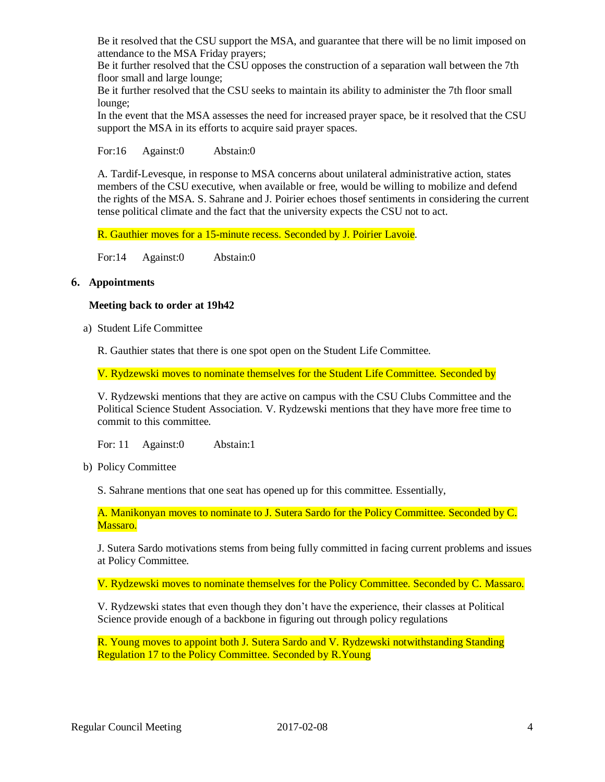Be it resolved that the CSU support the MSA, and guarantee that there will be no limit imposed on attendance to the MSA Friday prayers;

Be it further resolved that the CSU opposes the construction of a separation wall between the 7th floor small and large lounge;

Be it further resolved that the CSU seeks to maintain its ability to administer the 7th floor small lounge;

In the event that the MSA assesses the need for increased prayer space, be it resolved that the CSU support the MSA in its efforts to acquire said prayer spaces.

For:16 Against:0 Abstain:0

A. Tardif-Levesque, in response to MSA concerns about unilateral administrative action, states members of the CSU executive, when available or free, would be willing to mobilize and defend the rights of the MSA. S. Sahrane and J. Poirier echoes thosef sentiments in considering the current tense political climate and the fact that the university expects the CSU not to act.

R. Gauthier moves for a 15-minute recess. Seconded by J. Poirier Lavoie.

For:14 Against:0 Abstain:0

## **6. Appointments**

### **Meeting back to order at 19h42**

a) Student Life Committee

R. Gauthier states that there is one spot open on the Student Life Committee.

V. Rydzewski moves to nominate themselves for the Student Life Committee. Seconded by

V. Rydzewski mentions that they are active on campus with the CSU Clubs Committee and the Political Science Student Association. V. Rydzewski mentions that they have more free time to commit to this committee.

For: 11 Against:0 Abstain:1

b) Policy Committee

S. Sahrane mentions that one seat has opened up for this committee. Essentially,

A. Manikonyan moves to nominate to J. Sutera Sardo for the Policy Committee. Seconded by C. Massaro.

J. Sutera Sardo motivations stems from being fully committed in facing current problems and issues at Policy Committee.

V. Rydzewski moves to nominate themselves for the Policy Committee. Seconded by C. Massaro.

V. Rydzewski states that even though they don't have the experience, their classes at Political Science provide enough of a backbone in figuring out through policy regulations

R. Young moves to appoint both J. Sutera Sardo and V. Rydzewski notwithstanding Standing Regulation 17 to the Policy Committee. Seconded by R.Young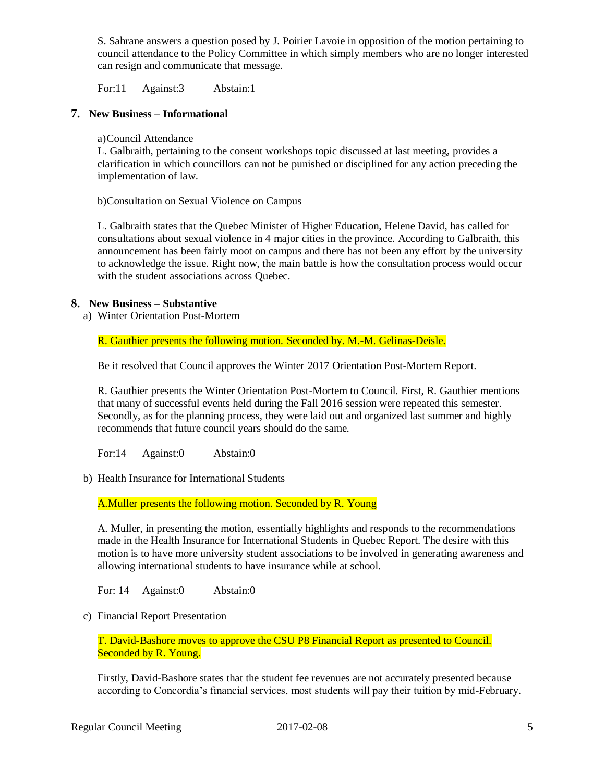S. Sahrane answers a question posed by J. Poirier Lavoie in opposition of the motion pertaining to council attendance to the Policy Committee in which simply members who are no longer interested can resign and communicate that message.

For:11 Against:3 Abstain:1

# **7. New Business – Informational**

a)Council Attendance

L. Galbraith, pertaining to the consent workshops topic discussed at last meeting, provides a clarification in which councillors can not be punished or disciplined for any action preceding the implementation of law.

b)Consultation on Sexual Violence on Campus

L. Galbraith states that the Quebec Minister of Higher Education, Helene David, has called for consultations about sexual violence in 4 major cities in the province. According to Galbraith, this announcement has been fairly moot on campus and there has not been any effort by the university to acknowledge the issue. Right now, the main battle is how the consultation process would occur with the student associations across Quebec.

## **8. New Business – Substantive**

a) Winter Orientation Post-Mortem

R. Gauthier presents the following motion. Seconded by. M.-M. Gelinas-Deisle.

Be it resolved that Council approves the Winter 2017 Orientation Post-Mortem Report.

R. Gauthier presents the Winter Orientation Post-Mortem to Council. First, R. Gauthier mentions that many of successful events held during the Fall 2016 session were repeated this semester. Secondly, as for the planning process, they were laid out and organized last summer and highly recommends that future council years should do the same.

For:14 Against:0 Abstain:0

b) Health Insurance for International Students

A.Muller presents the following motion. Seconded by R. Young

A. Muller, in presenting the motion, essentially highlights and responds to the recommendations made in the Health Insurance for International Students in Quebec Report. The desire with this motion is to have more university student associations to be involved in generating awareness and allowing international students to have insurance while at school.

For: 14 Against:0 Abstain:0

c) Financial Report Presentation

T. David-Bashore moves to approve the CSU P8 Financial Report as presented to Council. Seconded by R. Young.

Firstly, David-Bashore states that the student fee revenues are not accurately presented because according to Concordia's financial services, most students will pay their tuition by mid-February.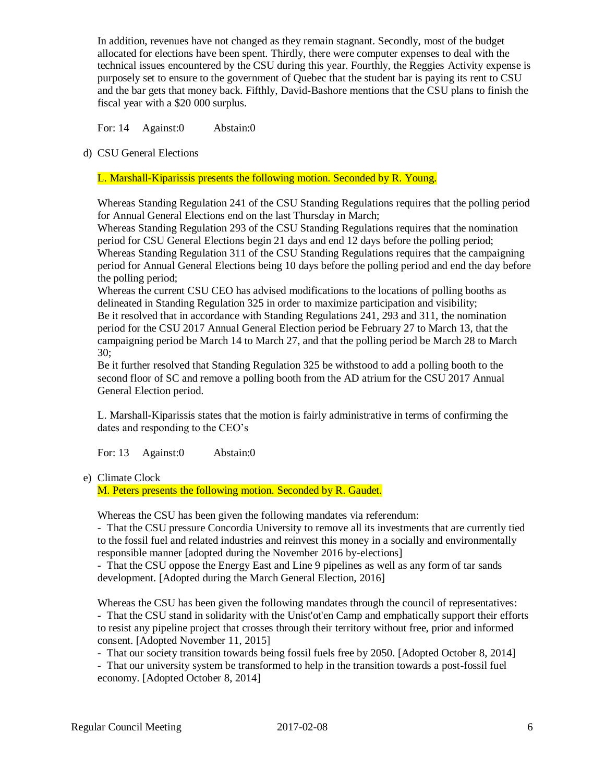In addition, revenues have not changed as they remain stagnant. Secondly, most of the budget allocated for elections have been spent. Thirdly, there were computer expenses to deal with the technical issues encountered by the CSU during this year. Fourthly, the Reggies Activity expense is purposely set to ensure to the government of Quebec that the student bar is paying its rent to CSU and the bar gets that money back. Fifthly, David-Bashore mentions that the CSU plans to finish the fiscal year with a \$20 000 surplus.

For: 14 Against:0 Abstain:0

d) CSU General Elections

L. Marshall-Kiparissis presents the following motion. Seconded by R. Young.

Whereas Standing Regulation 241 of the CSU Standing Regulations requires that the polling period for Annual General Elections end on the last Thursday in March;

Whereas Standing Regulation 293 of the CSU Standing Regulations requires that the nomination period for CSU General Elections begin 21 days and end 12 days before the polling period; Whereas Standing Regulation 311 of the CSU Standing Regulations requires that the campaigning period for Annual General Elections being 10 days before the polling period and end the day before the polling period;

Whereas the current CSU CEO has advised modifications to the locations of polling booths as delineated in Standing Regulation 325 in order to maximize participation and visibility; Be it resolved that in accordance with Standing Regulations 241, 293 and 311, the nomination period for the CSU 2017 Annual General Election period be February 27 to March 13, that the campaigning period be March 14 to March 27, and that the polling period be March 28 to March 30;

Be it further resolved that Standing Regulation 325 be withstood to add a polling booth to the second floor of SC and remove a polling booth from the AD atrium for the CSU 2017 Annual General Election period.

L. Marshall-Kiparissis states that the motion is fairly administrative in terms of confirming the dates and responding to the CEO's

For: 13 Against:0 Abstain:0

e) Climate Clock

M. Peters presents the following motion. Seconded by R. Gaudet.

Whereas the CSU has been given the following mandates via referendum:

- That the CSU pressure Concordia University to remove all its investments that are currently tied to the fossil fuel and related industries and reinvest this money in a socially and environmentally responsible manner [adopted during the November 2016 by-elections]

- That the CSU oppose the Energy East and Line 9 pipelines as well as any form of tar sands development. [Adopted during the March General Election, 2016]

Whereas the CSU has been given the following mandates through the council of representatives: - That the CSU stand in solidarity with the Unist'ot'en Camp and emphatically support their efforts to resist any pipeline project that crosses through their territory without free, prior and informed consent. [Adopted November 11, 2015]

- That our society transition towards being fossil fuels free by 2050. [Adopted October 8, 2014]

- That our university system be transformed to help in the transition towards a post-fossil fuel economy. [Adopted October 8, 2014]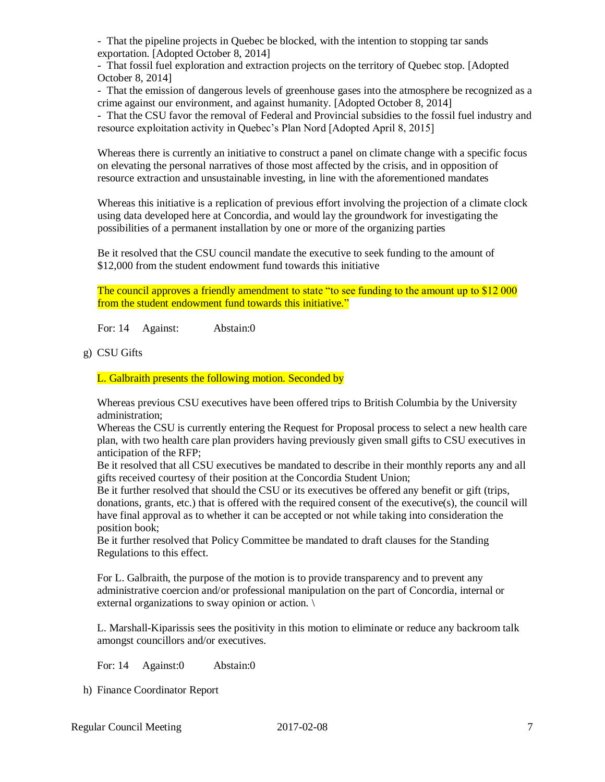- That the pipeline projects in Quebec be blocked, with the intention to stopping tar sands exportation. [Adopted October 8, 2014]

- That fossil fuel exploration and extraction projects on the territory of Quebec stop. [Adopted October 8, 2014]

- That the emission of dangerous levels of greenhouse gases into the atmosphere be recognized as a crime against our environment, and against humanity. [Adopted October 8, 2014]

- That the CSU favor the removal of Federal and Provincial subsidies to the fossil fuel industry and resource exploitation activity in Quebec's Plan Nord [Adopted April 8, 2015]

Whereas there is currently an initiative to construct a panel on climate change with a specific focus on elevating the personal narratives of those most affected by the crisis, and in opposition of resource extraction and unsustainable investing, in line with the aforementioned mandates

Whereas this initiative is a replication of previous effort involving the projection of a climate clock using data developed here at Concordia, and would lay the groundwork for investigating the possibilities of a permanent installation by one or more of the organizing parties

Be it resolved that the CSU council mandate the executive to seek funding to the amount of \$12,000 from the student endowment fund towards this initiative

The council approves a friendly amendment to state "to see funding to the amount up to \$12 000 from the student endowment fund towards this initiative."

For: 14 Against: Abstain:0

g) CSU Gifts

L. Galbraith presents the following motion. Seconded by

Whereas previous CSU executives have been offered trips to British Columbia by the University administration;

Whereas the CSU is currently entering the Request for Proposal process to select a new health care plan, with two health care plan providers having previously given small gifts to CSU executives in anticipation of the RFP;

Be it resolved that all CSU executives be mandated to describe in their monthly reports any and all gifts received courtesy of their position at the Concordia Student Union;

Be it further resolved that should the CSU or its executives be offered any benefit or gift (trips, donations, grants, etc.) that is offered with the required consent of the executive(s), the council will have final approval as to whether it can be accepted or not while taking into consideration the position book;

Be it further resolved that Policy Committee be mandated to draft clauses for the Standing Regulations to this effect.

For L. Galbraith, the purpose of the motion is to provide transparency and to prevent any administrative coercion and/or professional manipulation on the part of Concordia, internal or external organizations to sway opinion or action. \

L. Marshall-Kiparissis sees the positivity in this motion to eliminate or reduce any backroom talk amongst councillors and/or executives.

For: 14 Against:0 Abstain:0

h) Finance Coordinator Report